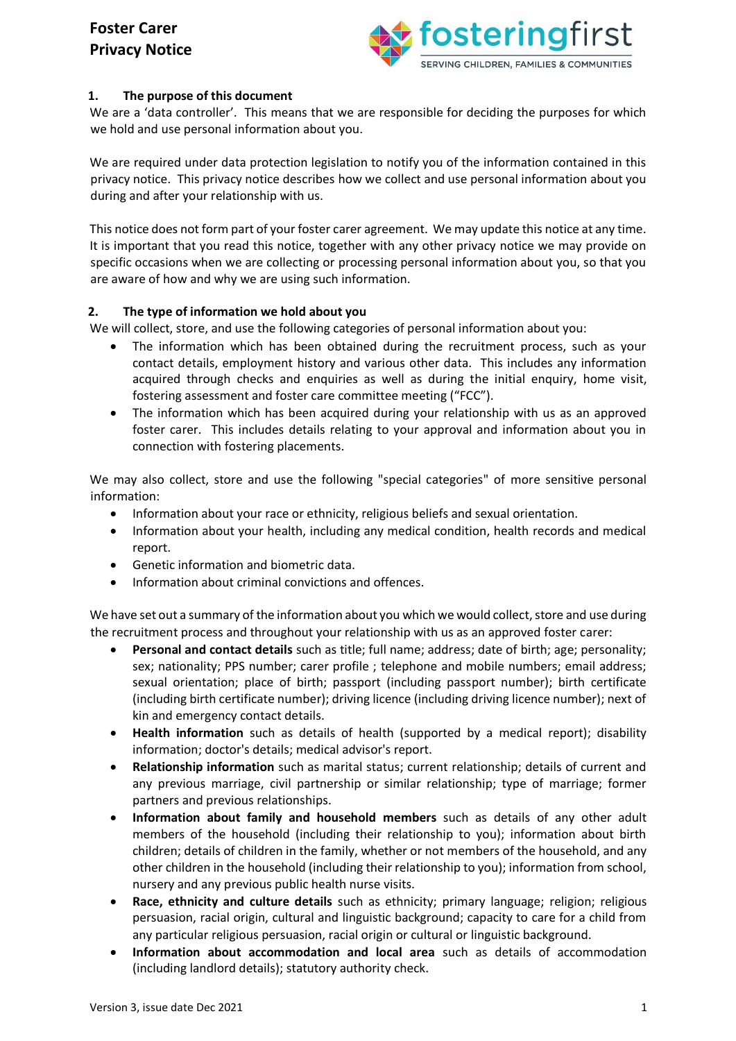

### **1. The purpose of this document**

We are a 'data controller'. This means that we are responsible for deciding the purposes for which we hold and use personal information about you.

We are required under data protection legislation to notify you of the information contained in this privacy notice. This privacy notice describes how we collect and use personal information about you during and after your relationship with us.

This notice does not form part of your foster carer agreement. We may update this notice at any time. It is important that you read this notice, together with any other privacy notice we may provide on specific occasions when we are collecting or processing personal information about you, so that you are aware of how and why we are using such information.

### **2. The type of information we hold about you**

We will collect, store, and use the following categories of personal information about you:

- The information which has been obtained during the recruitment process, such as your contact details, employment history and various other data. This includes any information acquired through checks and enquiries as well as during the initial enquiry, home visit, fostering assessment and foster care committee meeting ("FCC").
- The information which has been acquired during your relationship with us as an approved foster carer. This includes details relating to your approval and information about you in connection with fostering placements.

We may also collect, store and use the following "special categories" of more sensitive personal information:

- Information about your race or ethnicity, religious beliefs and sexual orientation.
- Information about your health, including any medical condition, health records and medical report.
- Genetic information and biometric data.
- Information about criminal convictions and offences.

We have set out a summary of the information about you which we would collect, store and use during the recruitment process and throughout your relationship with us as an approved foster carer:

- **Personal and contact details** such as title; full name; address; date of birth; age; personality; sex; nationality; PPS number; carer profile ; telephone and mobile numbers; email address; sexual orientation; place of birth; passport (including passport number); birth certificate (including birth certificate number); driving licence (including driving licence number); next of kin and emergency contact details.
- **Health information** such as details of health (supported by a medical report); disability information; doctor's details; medical advisor's report.
- **Relationship information** such as marital status; current relationship; details of current and any previous marriage, civil partnership or similar relationship; type of marriage; former partners and previous relationships.
- **Information about family and household members** such as details of any other adult members of the household (including their relationship to you); information about birth children; details of children in the family, whether or not members of the household, and any other children in the household (including their relationship to you); information from school, nursery and any previous public health nurse visits.
- **Race, ethnicity and culture details** such as ethnicity; primary language; religion; religious persuasion, racial origin, cultural and linguistic background; capacity to care for a child from any particular religious persuasion, racial origin or cultural or linguistic background.
- **Information about accommodation and local area** such as details of accommodation (including landlord details); statutory authority check.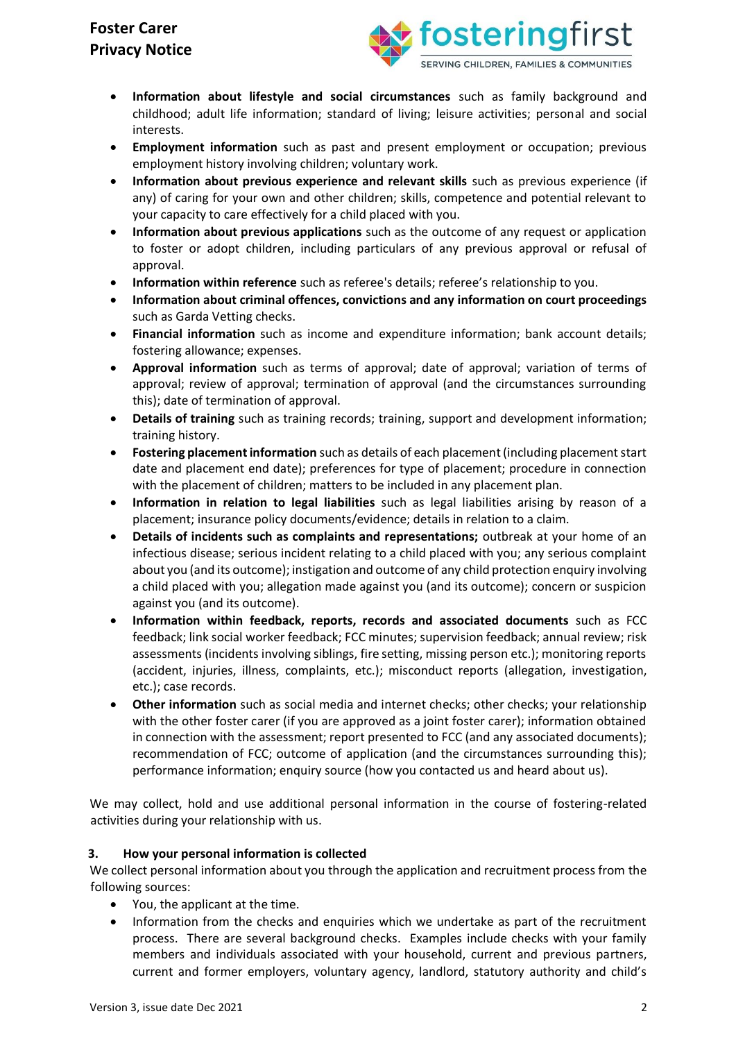

- **Information about lifestyle and social circumstances** such as family background and childhood; adult life information; standard of living; leisure activities; personal and social interests.
- **Employment information** such as past and present employment or occupation; previous employment history involving children; voluntary work.
- **Information about previous experience and relevant skills** such as previous experience (if any) of caring for your own and other children; skills, competence and potential relevant to your capacity to care effectively for a child placed with you.
- **Information about previous applications** such as the outcome of any request or application to foster or adopt children, including particulars of any previous approval or refusal of approval.
- **Information within reference** such as referee's details; referee's relationship to you.
- **Information about criminal offences, convictions and any information on court proceedings**  such as Garda Vetting checks.
- **Financial information** such as income and expenditure information; bank account details; fostering allowance; expenses.
- **Approval information** such as terms of approval; date of approval; variation of terms of approval; review of approval; termination of approval (and the circumstances surrounding this); date of termination of approval.
- **Details of training** such as training records; training, support and development information; training history.
- **Fostering placement information** such as details of each placement (including placement start date and placement end date); preferences for type of placement; procedure in connection with the placement of children; matters to be included in any placement plan.
- **Information in relation to legal liabilities** such as legal liabilities arising by reason of a placement; insurance policy documents/evidence; details in relation to a claim.
- **Details of incidents such as complaints and representations;** outbreak at your home of an infectious disease; serious incident relating to a child placed with you; any serious complaint about you (and its outcome); instigation and outcome of any child protection enquiry involving a child placed with you; allegation made against you (and its outcome); concern or suspicion against you (and its outcome).
- **Information within feedback, reports, records and associated documents** such as FCC feedback; link social worker feedback; FCC minutes; supervision feedback; annual review; risk assessments (incidents involving siblings, fire setting, missing person etc.); monitoring reports (accident, injuries, illness, complaints, etc.); misconduct reports (allegation, investigation, etc.); case records.
- **Other information** such as social media and internet checks; other checks; your relationship with the other foster carer (if you are approved as a joint foster carer); information obtained in connection with the assessment; report presented to FCC (and any associated documents); recommendation of FCC; outcome of application (and the circumstances surrounding this); performance information; enquiry source (how you contacted us and heard about us).

We may collect, hold and use additional personal information in the course of fostering-related activities during your relationship with us.

## **3. How your personal information is collected**

We collect personal information about you through the application and recruitment process from the following sources:

- You, the applicant at the time.
- Information from the checks and enquiries which we undertake as part of the recruitment process. There are several background checks. Examples include checks with your family members and individuals associated with your household, current and previous partners, current and former employers, voluntary agency, landlord, statutory authority and child's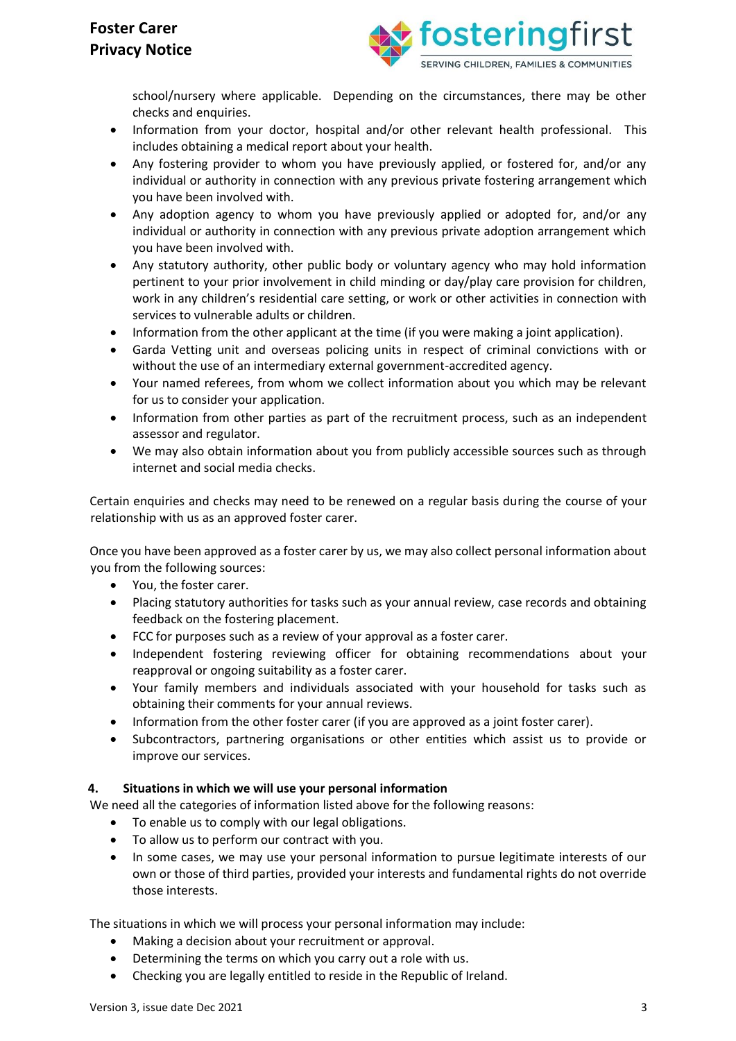

school/nursery where applicable. Depending on the circumstances, there may be other checks and enquiries.

- Information from your doctor, hospital and/or other relevant health professional. This includes obtaining a medical report about your health.
- Any fostering provider to whom you have previously applied, or fostered for, and/or any individual or authority in connection with any previous private fostering arrangement which you have been involved with.
- Any adoption agency to whom you have previously applied or adopted for, and/or any individual or authority in connection with any previous private adoption arrangement which you have been involved with.
- Any statutory authority, other public body or voluntary agency who may hold information pertinent to your prior involvement in child minding or day/play care provision for children, work in any children's residential care setting, or work or other activities in connection with services to vulnerable adults or children.
- Information from the other applicant at the time (if you were making a joint application).
- Garda Vetting unit and overseas policing units in respect of criminal convictions with or without the use of an intermediary external government-accredited agency.
- Your named referees, from whom we collect information about you which may be relevant for us to consider your application.
- Information from other parties as part of the recruitment process, such as an independent assessor and regulator.
- We may also obtain information about you from publicly accessible sources such as through internet and social media checks.

Certain enquiries and checks may need to be renewed on a regular basis during the course of your relationship with us as an approved foster carer.

Once you have been approved as a foster carer by us, we may also collect personal information about you from the following sources:

- You, the foster carer.
- Placing statutory authorities for tasks such as your annual review, case records and obtaining feedback on the fostering placement.
- FCC for purposes such as a review of your approval as a foster carer.
- Independent fostering reviewing officer for obtaining recommendations about your reapproval or ongoing suitability as a foster carer.
- Your family members and individuals associated with your household for tasks such as obtaining their comments for your annual reviews.
- Information from the other foster carer (if you are approved as a joint foster carer).
- Subcontractors, partnering organisations or other entities which assist us to provide or improve our services.

#### **4. Situations in which we will use your personal information**

We need all the categories of information listed above for the following reasons:

- To enable us to comply with our legal obligations.
- To allow us to perform our contract with you.
- In some cases, we may use your personal information to pursue legitimate interests of our own or those of third parties, provided your interests and fundamental rights do not override those interests.

The situations in which we will process your personal information may include:

- Making a decision about your recruitment or approval.
- Determining the terms on which you carry out a role with us.
- Checking you are legally entitled to reside in the Republic of Ireland.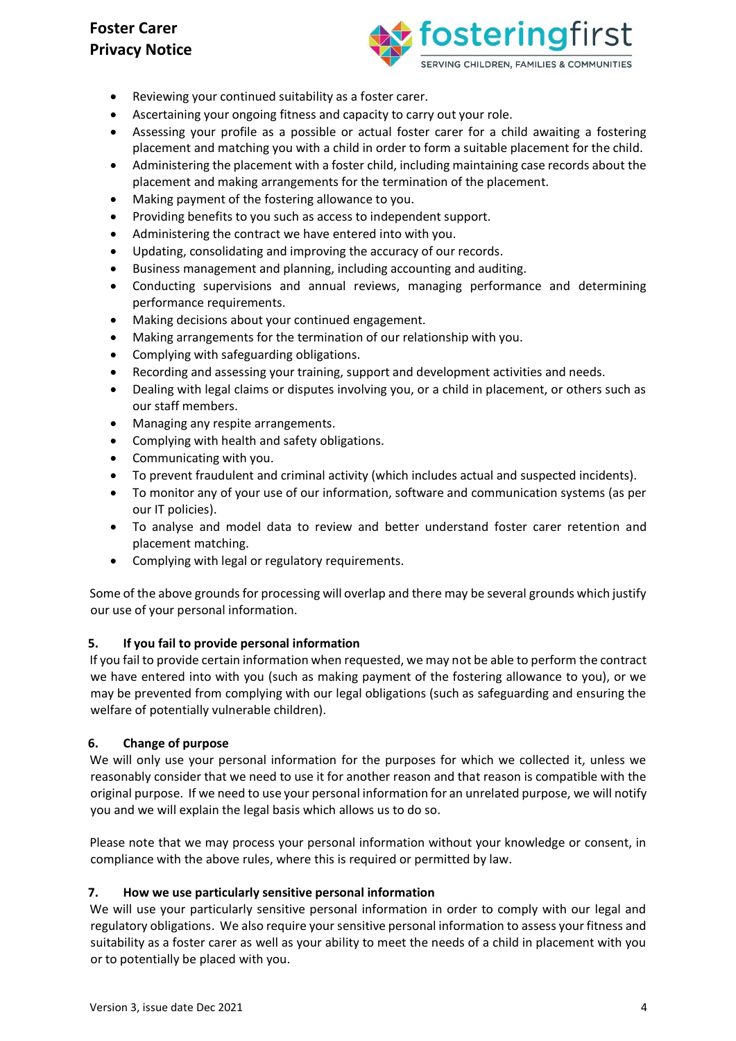

- Reviewing your continued suitability as a foster carer.
- Ascertaining your ongoing fitness and capacity to carry out your role.
- Assessing your profile as a possible or actual foster carer for a child awaiting a fostering placement and matching you with a child in order to form a suitable placement for the child.
- Administering the placement with a foster child, including maintaining case records about the placement and making arrangements for the termination of the placement.
- Making payment of the fostering allowance to you.
- Providing benefits to you such as access to independent support.
- Administering the contract we have entered into with you.
- Updating, consolidating and improving the accuracy of our records.
- Business management and planning, including accounting and auditing.
- Conducting supervisions and annual reviews, managing performance and determining performance requirements.
- Making decisions about your continued engagement.
- Making arrangements for the termination of our relationship with you.
- Complying with safeguarding obligations.
- Recording and assessing your training, support and development activities and needs.
- Dealing with legal claims or disputes involving you, or a child in placement, or others such as our staff members.
- Managing any respite arrangements.
- Complying with health and safety obligations.
- Communicating with you.
- To prevent fraudulent and criminal activity (which includes actual and suspected incidents).
- To monitor any of your use of our information, software and communication systems (as per our IT policies).
- To analyse and model data to review and better understand foster carer retention and placement matching.
- Complying with legal or regulatory requirements.

Some of the above grounds for processing will overlap and there may be several grounds which justify our use of your personal information.

### **5. If you fail to provide personal information**

If you fail to provide certain information when requested, we may not be able to perform the contract we have entered into with you (such as making payment of the fostering allowance to you), or we may be prevented from complying with our legal obligations (such as safeguarding and ensuring the welfare of potentially vulnerable children).

### **6. Change of purpose**

We will only use your personal information for the purposes for which we collected it, unless we reasonably consider that we need to use it for another reason and that reason is compatible with the original purpose. If we need to use your personal information for an unrelated purpose, we will notify you and we will explain the legal basis which allows us to do so.

Please note that we may process your personal information without your knowledge or consent, in compliance with the above rules, where this is required or permitted by law.

### **7. How we use particularly sensitive personal information**

We will use your particularly sensitive personal information in order to comply with our legal and regulatory obligations. We also require your sensitive personal information to assess your fitness and suitability as a foster carer as well as your ability to meet the needs of a child in placement with you or to potentially be placed with you.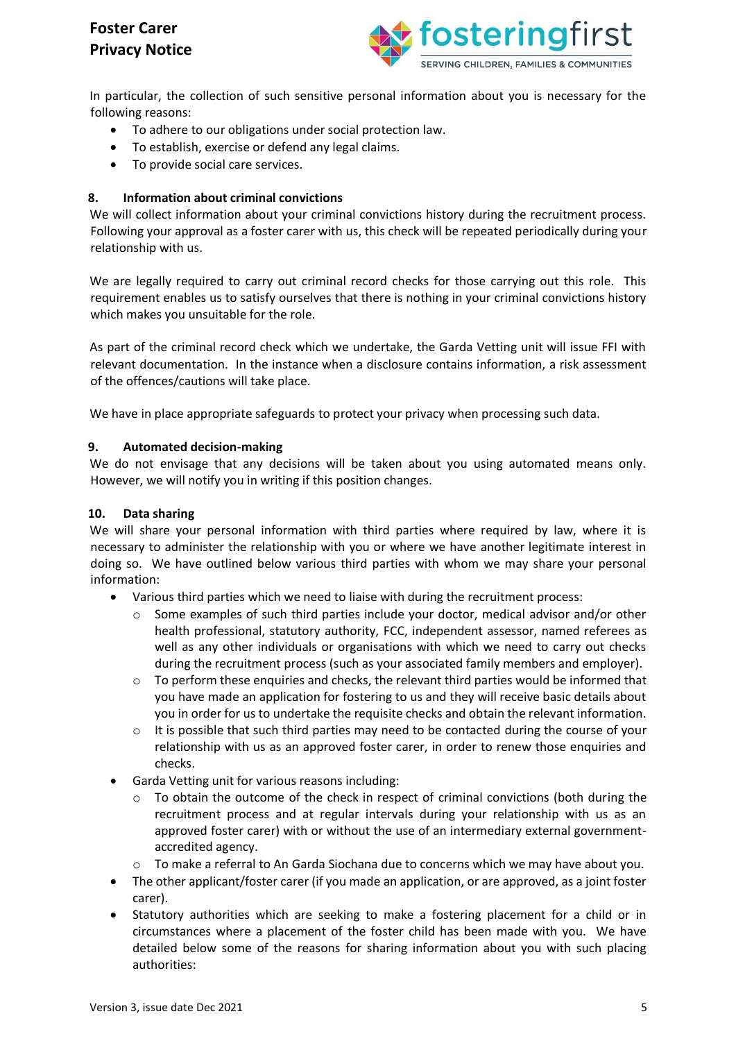

In particular, the collection of such sensitive personal information about you is necessary for the following reasons:

- To adhere to our obligations under social protection law.
- To establish, exercise or defend any legal claims.
- To provide social care services.

### **8. Information about criminal convictions**

We will collect information about your criminal convictions history during the recruitment process. Following your approval as a foster carer with us, this check will be repeated periodically during your relationship with us.

We are legally required to carry out criminal record checks for those carrying out this role. This requirement enables us to satisfy ourselves that there is nothing in your criminal convictions history which makes you unsuitable for the role.

As part of the criminal record check which we undertake, the Garda Vetting unit will issue FFI with relevant documentation. In the instance when a disclosure contains information, a risk assessment of the offences/cautions will take place.

We have in place appropriate safeguards to protect your privacy when processing such data.

#### **9. Automated decision-making**

We do not envisage that any decisions will be taken about you using automated means only. However, we will notify you in writing if this position changes.

#### **10. Data sharing**

We will share your personal information with third parties where required by law, where it is necessary to administer the relationship with you or where we have another legitimate interest in doing so. We have outlined below various third parties with whom we may share your personal information:

- Various third parties which we need to liaise with during the recruitment process:
	- $\circ$  Some examples of such third parties include your doctor, medical advisor and/or other health professional, statutory authority, FCC, independent assessor, named referees as well as any other individuals or organisations with which we need to carry out checks during the recruitment process (such as your associated family members and employer).
	- $\circ$  To perform these enquiries and checks, the relevant third parties would be informed that you have made an application for fostering to us and they will receive basic details about you in order for us to undertake the requisite checks and obtain the relevant information.
	- $\circ$  It is possible that such third parties may need to be contacted during the course of your relationship with us as an approved foster carer, in order to renew those enquiries and checks.
- Garda Vetting unit for various reasons including:
	- $\circ$  To obtain the outcome of the check in respect of criminal convictions (both during the recruitment process and at regular intervals during your relationship with us as an approved foster carer) with or without the use of an intermediary external governmentaccredited agency.
	- o To make a referral to An Garda Siochana due to concerns which we may have about you.
- The other applicant/foster carer (if you made an application, or are approved, as a joint foster carer).
- Statutory authorities which are seeking to make a fostering placement for a child or in circumstances where a placement of the foster child has been made with you. We have detailed below some of the reasons for sharing information about you with such placing authorities: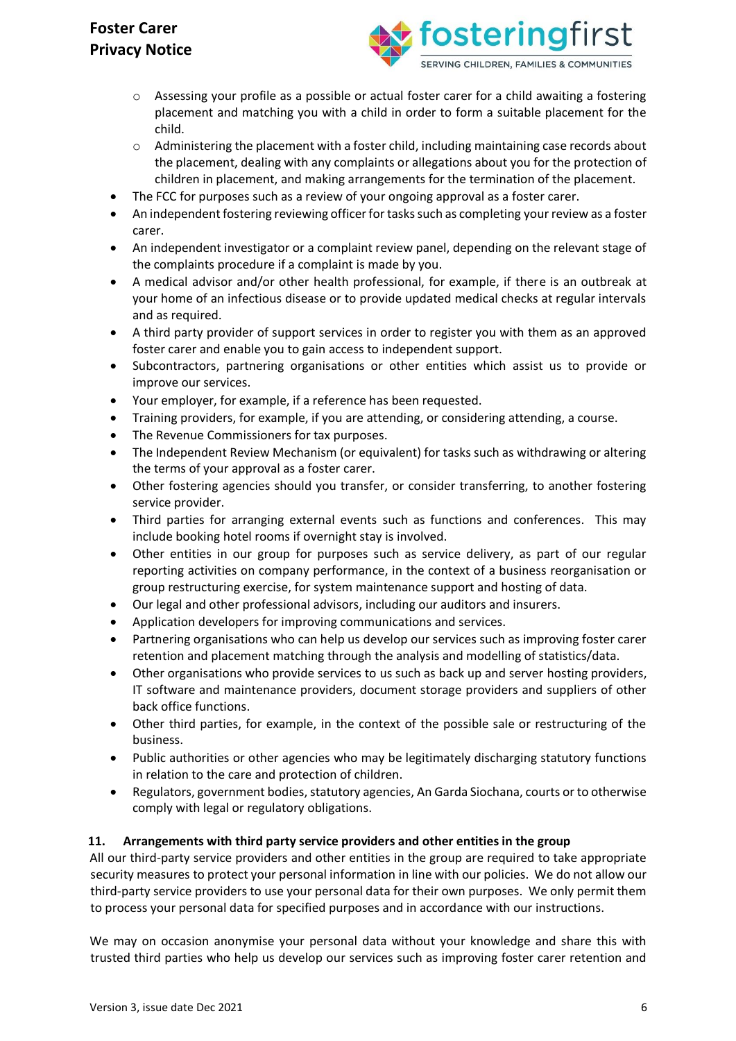

- $\circ$  Assessing your profile as a possible or actual foster carer for a child awaiting a fostering placement and matching you with a child in order to form a suitable placement for the child.
- $\circ$  Administering the placement with a foster child, including maintaining case records about the placement, dealing with any complaints or allegations about you for the protection of children in placement, and making arrangements for the termination of the placement.
- The FCC for purposes such as a review of your ongoing approval as a foster carer.
- An independent fostering reviewing officer for tasks such as completing your review as a foster carer.
- An independent investigator or a complaint review panel, depending on the relevant stage of the complaints procedure if a complaint is made by you.
- A medical advisor and/or other health professional, for example, if there is an outbreak at your home of an infectious disease or to provide updated medical checks at regular intervals and as required.
- A third party provider of support services in order to register you with them as an approved foster carer and enable you to gain access to independent support.
- Subcontractors, partnering organisations or other entities which assist us to provide or improve our services.
- Your employer, for example, if a reference has been requested.
- Training providers, for example, if you are attending, or considering attending, a course.
- The Revenue Commissioners for tax purposes.
- The Independent Review Mechanism (or equivalent) for tasks such as withdrawing or altering the terms of your approval as a foster carer.
- Other fostering agencies should you transfer, or consider transferring, to another fostering service provider.
- Third parties for arranging external events such as functions and conferences. This may include booking hotel rooms if overnight stay is involved.
- Other entities in our group for purposes such as service delivery, as part of our regular reporting activities on company performance, in the context of a business reorganisation or group restructuring exercise, for system maintenance support and hosting of data.
- Our legal and other professional advisors, including our auditors and insurers.
- Application developers for improving communications and services.
- Partnering organisations who can help us develop our services such as improving foster carer retention and placement matching through the analysis and modelling of statistics/data.
- Other organisations who provide services to us such as back up and server hosting providers, IT software and maintenance providers, document storage providers and suppliers of other back office functions.
- Other third parties, for example, in the context of the possible sale or restructuring of the business.
- Public authorities or other agencies who may be legitimately discharging statutory functions in relation to the care and protection of children.
- Regulators, government bodies, statutory agencies, An Garda Siochana, courts or to otherwise comply with legal or regulatory obligations.

### **11. Arrangements with third party service providers and other entities in the group**

All our third-party service providers and other entities in the group are required to take appropriate security measures to protect your personal information in line with our policies. We do not allow our third-party service providers to use your personal data for their own purposes. We only permit them to process your personal data for specified purposes and in accordance with our instructions.

We may on occasion anonymise your personal data without your knowledge and share this with trusted third parties who help us develop our services such as improving foster carer retention and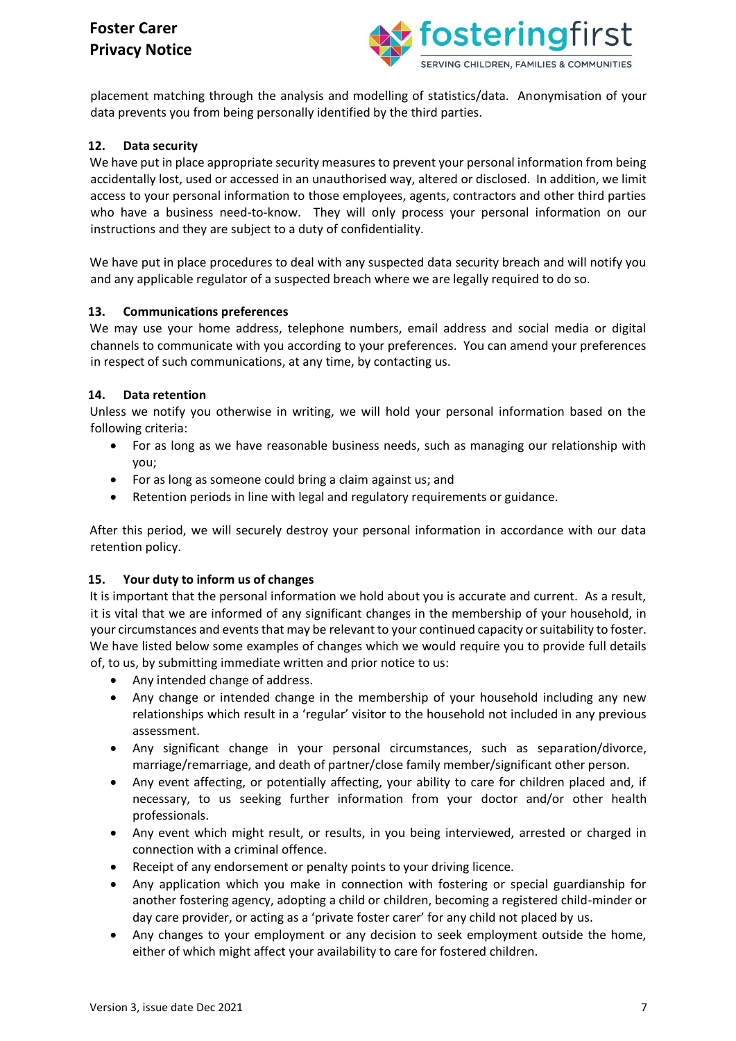

placement matching through the analysis and modelling of statistics/data. Anonymisation of your data prevents you from being personally identified by the third parties.

### **12. Data security**

We have put in place appropriate security measures to prevent your personal information from being accidentally lost, used or accessed in an unauthorised way, altered or disclosed. In addition, we limit access to your personal information to those employees, agents, contractors and other third parties who have a business need-to-know. They will only process your personal information on our instructions and they are subject to a duty of confidentiality.

We have put in place procedures to deal with any suspected data security breach and will notify you and any applicable regulator of a suspected breach where we are legally required to do so.

#### **13. Communications preferences**

We may use your home address, telephone numbers, email address and social media or digital channels to communicate with you according to your preferences. You can amend your preferences in respect of such communications, at any time, by contacting us.

#### **14. Data retention**

Unless we notify you otherwise in writing, we will hold your personal information based on the following criteria:

- For as long as we have reasonable business needs, such as managing our relationship with you;
- For as long as someone could bring a claim against us; and
- Retention periods in line with legal and regulatory requirements or guidance.

After this period, we will securely destroy your personal information in accordance with our data retention policy.

### **15. Your duty to inform us of changes**

It is important that the personal information we hold about you is accurate and current. As a result, it is vital that we are informed of any significant changes in the membership of your household, in your circumstances and events that may be relevant to your continued capacity or suitability to foster. We have listed below some examples of changes which we would require you to provide full details of, to us, by submitting immediate written and prior notice to us:

- Any intended change of address.
- Any change or intended change in the membership of your household including any new relationships which result in a 'regular' visitor to the household not included in any previous assessment.
- Any significant change in your personal circumstances, such as separation/divorce, marriage/remarriage, and death of partner/close family member/significant other person.
- Any event affecting, or potentially affecting, your ability to care for children placed and, if necessary, to us seeking further information from your doctor and/or other health professionals.
- Any event which might result, or results, in you being interviewed, arrested or charged in connection with a criminal offence.
- Receipt of any endorsement or penalty points to your driving licence.
- Any application which you make in connection with fostering or special guardianship for another fostering agency, adopting a child or children, becoming a registered child-minder or day care provider, or acting as a 'private foster carer' for any child not placed by us.
- Any changes to your employment or any decision to seek employment outside the home, either of which might affect your availability to care for fostered children.